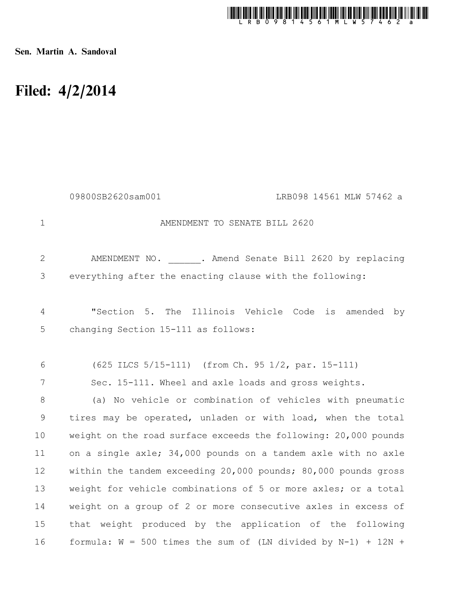

Sen. Martin A. Sandoval

## Filed: 4/2/2014

|               | LRB098 14561 MLW 57462 a<br>09800SB2620sam001                                                       |
|---------------|-----------------------------------------------------------------------------------------------------|
| $\mathbf 1$   | AMENDMENT TO SENATE BILL 2620                                                                       |
| 2             | AMENDMENT NO. . Amend Senate Bill 2620 by replacing                                                 |
| 3             | everything after the enacting clause with the following:                                            |
| 4<br>5        | "Section 5.<br>The Illinois Vehicle Code<br>is amended<br>by<br>changing Section 15-111 as follows: |
| 6             | (625 ILCS 5/15-111) (from Ch. 95 1/2, par. 15-111)                                                  |
| 7             | Sec. 15-111. Wheel and axle loads and gross weights.                                                |
| $8\,$         | (a) No vehicle or combination of vehicles with pneumatic                                            |
| $\mathcal{G}$ | tires may be operated, unladen or with load, when the total                                         |
| 10            | weight on the road surface exceeds the following: 20,000 pounds                                     |
| 11            | on a single axle; 34,000 pounds on a tandem axle with no axle                                       |
| 12            | within the tandem exceeding 20,000 pounds; 80,000 pounds gross                                      |
| 13            | weight for vehicle combinations of 5 or more axles; or a total                                      |
| 14            | weight on a group of 2 or more consecutive axles in excess of                                       |
| 15            | that weight produced by the application of the following                                            |
| 16            | formula: $W = 500$ times the sum of (LN divided by N-1) + 12N +                                     |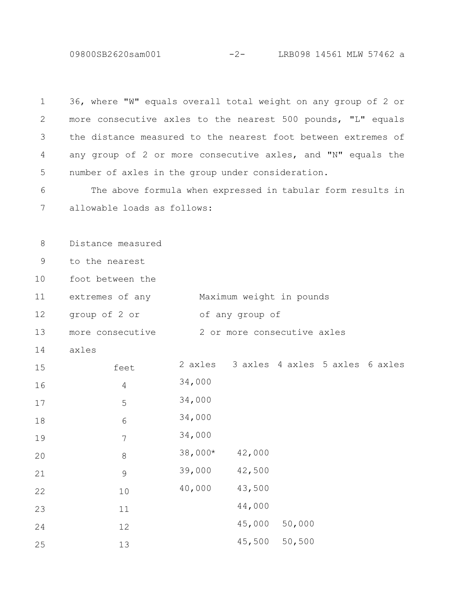09800SB2620sam001 -2- LRB098 14561 MLW 57462 a

36, where "W" equals overall total weight on any group of 2 or more consecutive axles to the nearest 500 pounds, "L" equals the distance measured to the nearest foot between extremes of any group of 2 or more consecutive axles, and "N" equals the number of axles in the group under consideration. 

The above formula when expressed in tabular form results in allowable loads as follows: 

Distance measured 

to the nearest 

foot between the 

extremes of any Maximum weight in pounds 

group of 2 or of any group of 

more consecutive 2 or more consecutive axles 

axles 

| 15 | feet       | 2 axles |        |        | 3 axles 4 axles 5 axles 6 axles |  |
|----|------------|---------|--------|--------|---------------------------------|--|
| 16 | $\sqrt{4}$ | 34,000  |        |        |                                 |  |
| 17 | 5          | 34,000  |        |        |                                 |  |
| 18 | 6          | 34,000  |        |        |                                 |  |
| 19 | 7          | 34,000  |        |        |                                 |  |
| 20 | $\,8\,$    | 38,000* | 42,000 |        |                                 |  |
| 21 | 9          | 39,000  | 42,500 |        |                                 |  |
| 22 | 10         | 40,000  | 43,500 |        |                                 |  |
| 23 | 11         |         | 44,000 |        |                                 |  |
| 24 | 12         |         | 45,000 | 50,000 |                                 |  |
| 25 | 13         |         | 45,500 | 50,500 |                                 |  |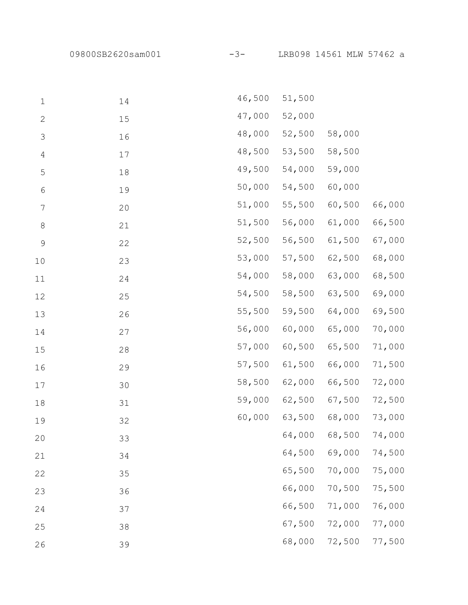| $\mathbf 1$    | 14 | 46,500 | 51,500 |               |        |
|----------------|----|--------|--------|---------------|--------|
| $\mathbf{2}$   | 15 | 47,000 | 52,000 |               |        |
| $\mathfrak{Z}$ | 16 | 48,000 | 52,500 | 58,000        |        |
| $\sqrt{4}$     | 17 | 48,500 | 53,500 | 58,500        |        |
| 5              | 18 | 49,500 | 54,000 | 59,000        |        |
| $\sqrt{6}$     | 19 | 50,000 | 54,500 | 60,000        |        |
| 7              | 20 | 51,000 | 55,500 | 60,500        | 66,000 |
| $\,8\,$        | 21 | 51,500 | 56,000 | 61,000        | 66,500 |
| $\mathsf 9$    | 22 | 52,500 | 56,500 | 61,500        | 67,000 |
| 10             | 23 | 53,000 | 57,500 | 62,500        | 68,000 |
| 11             | 24 | 54,000 | 58,000 | 63,000        | 68,500 |
| 12             | 25 | 54,500 | 58,500 | 63,500        | 69,000 |
| 13             | 26 | 55,500 | 59,500 | 64,000        | 69,500 |
| 14             | 27 | 56,000 | 60,000 | 65,000        | 70,000 |
| 15             | 28 | 57,000 | 60,500 | 65,500        | 71,000 |
| 16             | 29 | 57,500 | 61,500 | 66,000        | 71,500 |
| 17             | 30 | 58,500 | 62,000 | 66,500        | 72,000 |
| 18             | 31 | 59,000 | 62,500 | 67,500        | 72,500 |
| 19             | 32 | 60,000 | 63,500 | 68,000        | 73,000 |
| 20             | 33 |        |        | 64,000 68,500 | 74,000 |
| 21             | 34 |        | 64,500 | 69,000        | 74,500 |
| 22             | 35 |        | 65,500 | 70,000        | 75,000 |
| 23             | 36 |        | 66,000 | 70,500        | 75,500 |
| 24             | 37 |        | 66,500 | 71,000        | 76,000 |
| 25             | 38 |        | 67,500 | 72,000        | 77,000 |
| 26             | 39 |        | 68,000 | 72,500        | 77,500 |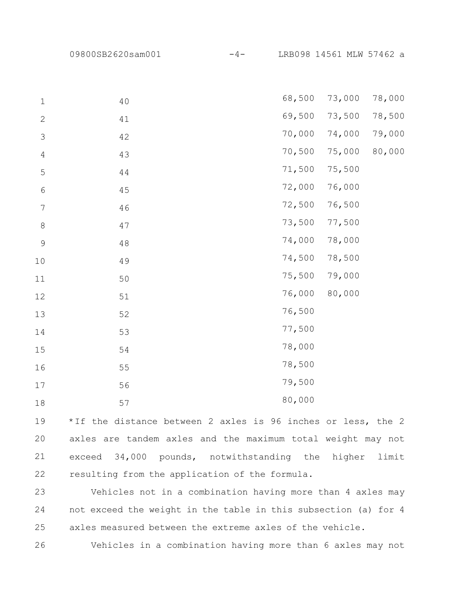09800SB2620sam001 -4- LRB098 14561 MLW 57462 a

| $1\,$            | $4\,0$ | 68,500 | 73,000 | 78,000 |
|------------------|--------|--------|--------|--------|
| $\mathbf{2}$     | 41     | 69,500 | 73,500 | 78,500 |
| 3                | 42     | 70,000 | 74,000 | 79,000 |
| $\overline{4}$   | 43     | 70,500 | 75,000 | 80,000 |
| 5                | 44     | 71,500 | 75,500 |        |
| $\sqrt{6}$       | 45     | 72,000 | 76,000 |        |
| $\boldsymbol{7}$ | 46     | 72,500 | 76,500 |        |
| $\,8\,$          | 47     | 73,500 | 77,500 |        |
| $\mathcal{G}$    | $4\,8$ | 74,000 | 78,000 |        |
| $10\,$           | 49     | 74,500 | 78,500 |        |
| 11               | 50     | 75,500 | 79,000 |        |
| 12               | $51\,$ | 76,000 | 80,000 |        |
| 13               | 52     | 76,500 |        |        |
| 14               | 53     | 77,500 |        |        |
| 15               | 54     | 78,000 |        |        |
| 16               | 55     | 78,500 |        |        |
| 17               | 56     | 79,500 |        |        |
| $1\,8$           | 57     | 80,000 |        |        |

\*If the distance between 2 axles is 96 inches or less, the 2 axles are tandem axles and the maximum total weight may not exceed 34,000 pounds, notwithstanding the higher limit resulting from the application of the formula. 

Vehicles not in a combination having more than 4 axles may not exceed the weight in the table in this subsection (a) for 4 axles measured between the extreme axles of the vehicle. 

Vehicles in a combination having more than 6 axles may not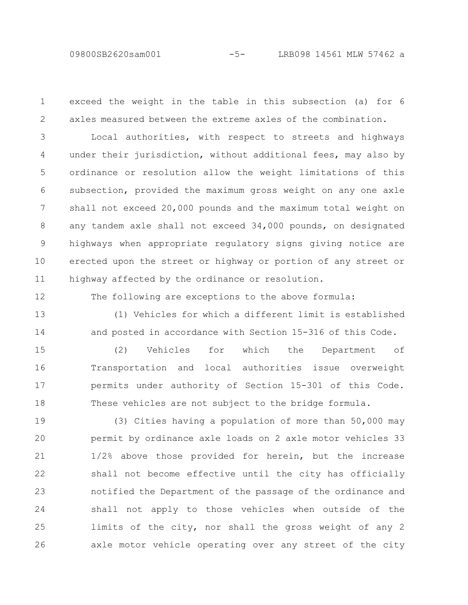exceed the weight in the table in this subsection (a) for 6 axles measured between the extreme axles of the combination. 1 2

Local authorities, with respect to streets and highways under their jurisdiction, without additional fees, may also by ordinance or resolution allow the weight limitations of this subsection, provided the maximum gross weight on any one axle shall not exceed 20,000 pounds and the maximum total weight on any tandem axle shall not exceed 34,000 pounds, on designated highways when appropriate regulatory signs giving notice are erected upon the street or highway or portion of any street or highway affected by the ordinance or resolution. 3 4 5 6 7 8 9 10 11

The following are exceptions to the above formula:

12

(1) Vehicles for which a different limit is established and posted in accordance with Section 15-316 of this Code. 13 14

(2) Vehicles for which the Department of Transportation and local authorities issue overweight permits under authority of Section 15-301 of this Code. These vehicles are not subject to the bridge formula. 15 16 17 18

(3) Cities having a population of more than 50,000 may permit by ordinance axle loads on 2 axle motor vehicles 33 1/2% above those provided for herein, but the increase shall not become effective until the city has officially notified the Department of the passage of the ordinance and shall not apply to those vehicles when outside of the limits of the city, nor shall the gross weight of any 2 axle motor vehicle operating over any street of the city 19 20 21 22 23 24 25 26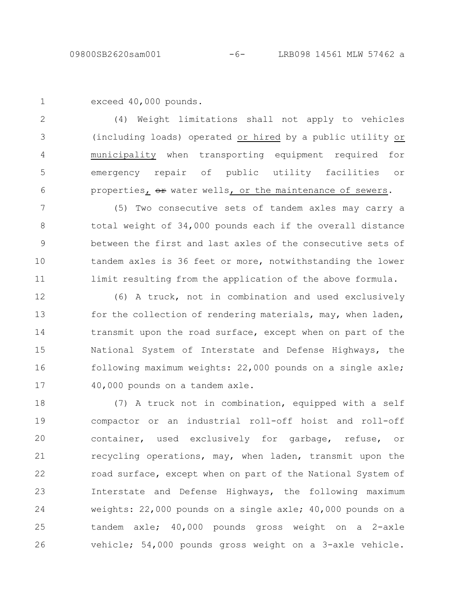```
exceed 40,000 pounds.
1
```
(4) Weight limitations shall not apply to vehicles (including loads) operated or hired by a public utility or municipality when transporting equipment required for emergency repair of public utility facilities or properties, or water wells, or the maintenance of sewers. 2 3 4 5 6

(5) Two consecutive sets of tandem axles may carry a total weight of 34,000 pounds each if the overall distance between the first and last axles of the consecutive sets of tandem axles is 36 feet or more, notwithstanding the lower limit resulting from the application of the above formula. 7 8 9 10 11

(6) A truck, not in combination and used exclusively for the collection of rendering materials, may, when laden, transmit upon the road surface, except when on part of the National System of Interstate and Defense Highways, the following maximum weights: 22,000 pounds on a single axle; 40,000 pounds on a tandem axle. 12 13 14 15 16 17

(7) A truck not in combination, equipped with a self compactor or an industrial roll-off hoist and roll-off container, used exclusively for garbage, refuse, or recycling operations, may, when laden, transmit upon the road surface, except when on part of the National System of Interstate and Defense Highways, the following maximum weights: 22,000 pounds on a single axle; 40,000 pounds on a tandem axle; 40,000 pounds gross weight on a 2-axle vehicle; 54,000 pounds gross weight on a 3-axle vehicle. 18 19 20 21 22 23 24 25 26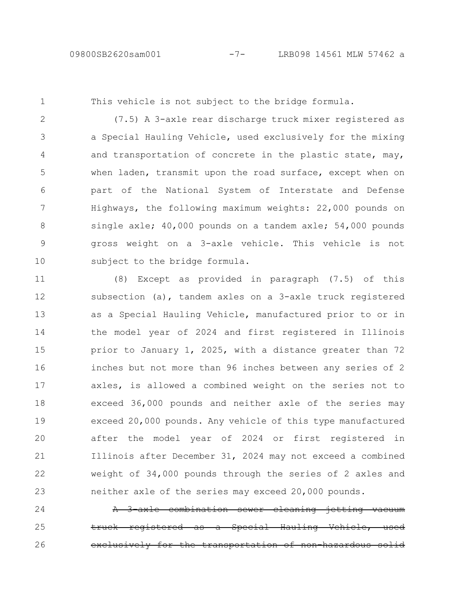1

This vehicle is not subject to the bridge formula.

(7.5) A 3-axle rear discharge truck mixer registered as a Special Hauling Vehicle, used exclusively for the mixing and transportation of concrete in the plastic state, may, when laden, transmit upon the road surface, except when on part of the National System of Interstate and Defense Highways, the following maximum weights: 22,000 pounds on single axle; 40,000 pounds on a tandem axle; 54,000 pounds gross weight on a 3-axle vehicle. This vehicle is not subject to the bridge formula. 2 3 4 5 6 7 8 9 10

(8) Except as provided in paragraph (7.5) of this subsection (a), tandem axles on a 3-axle truck registered as a Special Hauling Vehicle, manufactured prior to or in the model year of 2024 and first registered in Illinois prior to January 1, 2025, with a distance greater than 72 inches but not more than 96 inches between any series of 2 axles, is allowed a combined weight on the series not to exceed 36,000 pounds and neither axle of the series may exceed 20,000 pounds. Any vehicle of this type manufactured after the model year of 2024 or first registered in Illinois after December 31, 2024 may not exceed a combined weight of 34,000 pounds through the series of 2 axles and neither axle of the series may exceed 20,000 pounds. 11 12 13 14 15 16 17 18 19 20 21 22 23

axle combination sewer cleaning jetting truck registered as a Special Hauling Vehicle, used <del>transportation</del> 24 25 26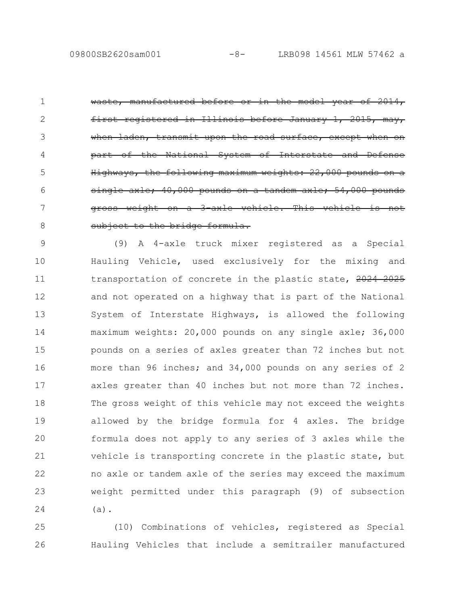waste, manufactured before or in the model year of 2014, <u>in Illinois before January</u> when laden, transmit upon the road surface, except when on part of the National System of Interstate and Defense Highways, the following maximum weights: 22,000 pounds on a 40,000 pounds on on a 3-axle vehicle. This the bridge formula. 1 2 3 4 5 6 7 8

(9) A 4-axle truck mixer registered as a Special Hauling Vehicle, used exclusively for the mixing and transportation of concrete in the plastic state, 2024 2025 and not operated on a highway that is part of the National System of Interstate Highways, is allowed the following maximum weights: 20,000 pounds on any single axle; 36,000 pounds on a series of axles greater than 72 inches but not more than 96 inches; and 34,000 pounds on any series of 2 axles greater than 40 inches but not more than 72 inches. The gross weight of this vehicle may not exceed the weights allowed by the bridge formula for 4 axles. The bridge formula does not apply to any series of 3 axles while the vehicle is transporting concrete in the plastic state, but no axle or tandem axle of the series may exceed the maximum weight permitted under this paragraph (9) of subsection (a). 9 10 11 12 13 14 15 16 17 18 19 20 21 22 23 24

(10) Combinations of vehicles, registered as Special Hauling Vehicles that include a semitrailer manufactured 25 26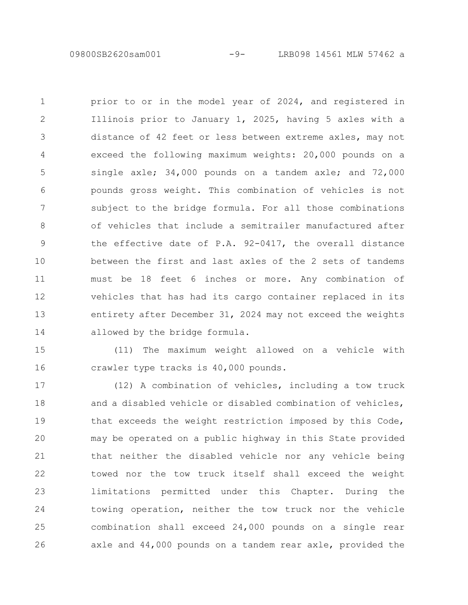prior to or in the model year of 2024, and registered in Illinois prior to January 1, 2025, having 5 axles with a distance of 42 feet or less between extreme axles, may not exceed the following maximum weights: 20,000 pounds on a single axle; 34,000 pounds on a tandem axle; and 72,000 pounds gross weight. This combination of vehicles is not subject to the bridge formula. For all those combinations of vehicles that include a semitrailer manufactured after the effective date of P.A. 92-0417, the overall distance between the first and last axles of the 2 sets of tandems must be 18 feet 6 inches or more. Any combination of vehicles that has had its cargo container replaced in its entirety after December 31, 2024 may not exceed the weights allowed by the bridge formula. 1 2 3 4 5 6 7 8 9 10 11 12 13 14

(11) The maximum weight allowed on a vehicle with crawler type tracks is 40,000 pounds. 15 16

(12) A combination of vehicles, including a tow truck and a disabled vehicle or disabled combination of vehicles, that exceeds the weight restriction imposed by this Code, may be operated on a public highway in this State provided that neither the disabled vehicle nor any vehicle being towed nor the tow truck itself shall exceed the weight limitations permitted under this Chapter. During the towing operation, neither the tow truck nor the vehicle combination shall exceed 24,000 pounds on a single rear axle and 44,000 pounds on a tandem rear axle, provided the 17 18 19 20 21 22 23 24 25 26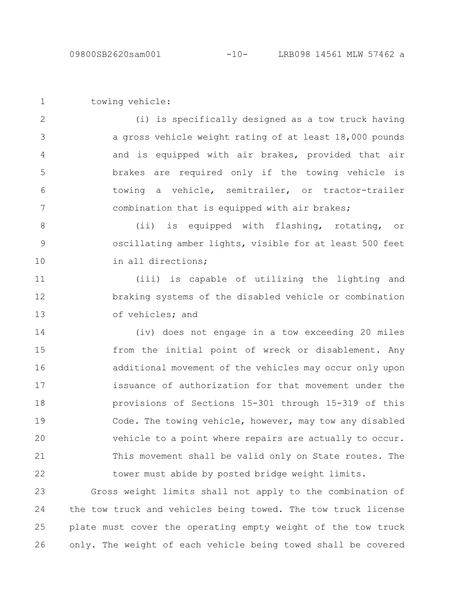towing vehicle: 1

(i) is specifically designed as a tow truck having a gross vehicle weight rating of at least 18,000 pounds and is equipped with air brakes, provided that air brakes are required only if the towing vehicle is towing a vehicle, semitrailer, or tractor-trailer combination that is equipped with air brakes; 2 3 4 5 6 7

(ii) is equipped with flashing, rotating, or oscillating amber lights, visible for at least 500 feet in all directions; 8 9 10

(iii) is capable of utilizing the lighting and braking systems of the disabled vehicle or combination of vehicles; and 11 12 13

(iv) does not engage in a tow exceeding 20 miles from the initial point of wreck or disablement. Any additional movement of the vehicles may occur only upon issuance of authorization for that movement under the provisions of Sections 15-301 through 15-319 of this Code. The towing vehicle, however, may tow any disabled vehicle to a point where repairs are actually to occur. This movement shall be valid only on State routes. The tower must abide by posted bridge weight limits. 14 15 16 17 18 19 20 21 22

Gross weight limits shall not apply to the combination of the tow truck and vehicles being towed. The tow truck license plate must cover the operating empty weight of the tow truck only. The weight of each vehicle being towed shall be covered 23 24 25 26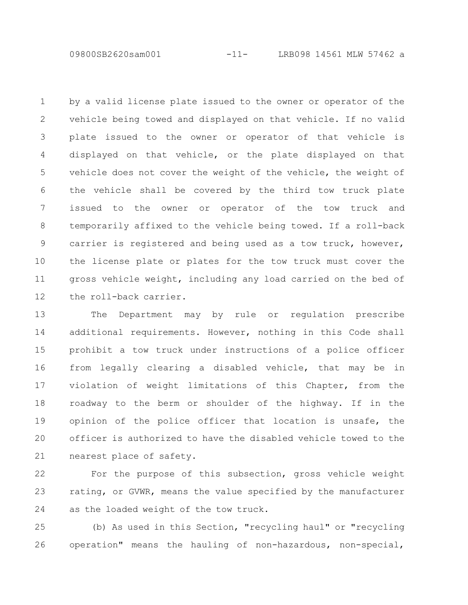09800SB2620sam001 -11- LRB098 14561 MLW 57462 a

by a valid license plate issued to the owner or operator of the vehicle being towed and displayed on that vehicle. If no valid plate issued to the owner or operator of that vehicle is displayed on that vehicle, or the plate displayed on that vehicle does not cover the weight of the vehicle, the weight of the vehicle shall be covered by the third tow truck plate issued to the owner or operator of the tow truck and temporarily affixed to the vehicle being towed. If a roll-back carrier is registered and being used as a tow truck, however, the license plate or plates for the tow truck must cover the gross vehicle weight, including any load carried on the bed of the roll-back carrier. 1 2 3 4 5 6 7 8 9 10 11 12

The Department may by rule or regulation prescribe additional requirements. However, nothing in this Code shall prohibit a tow truck under instructions of a police officer from legally clearing a disabled vehicle, that may be in violation of weight limitations of this Chapter, from the roadway to the berm or shoulder of the highway. If in the opinion of the police officer that location is unsafe, the officer is authorized to have the disabled vehicle towed to the nearest place of safety. 13 14 15 16 17 18 19 20 21

For the purpose of this subsection, gross vehicle weight rating, or GVWR, means the value specified by the manufacturer as the loaded weight of the tow truck. 22 23 24

(b) As used in this Section, "recycling haul" or "recycling operation" means the hauling of non-hazardous, non-special, 25 26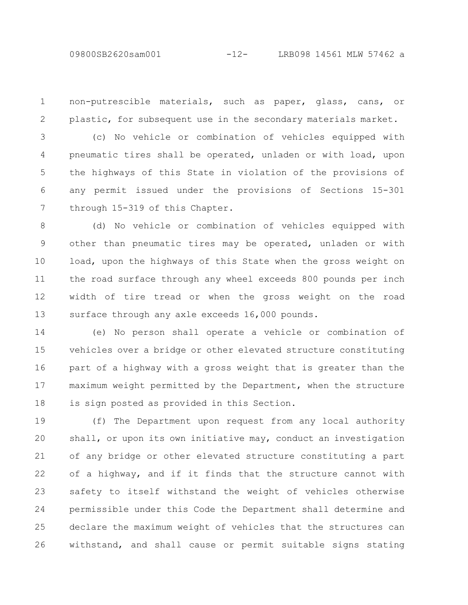09800SB2620sam001 -12- LRB098 14561 MLW 57462 a

non-putrescible materials, such as paper, glass, cans, or plastic, for subsequent use in the secondary materials market. 1 2

(c) No vehicle or combination of vehicles equipped with pneumatic tires shall be operated, unladen or with load, upon the highways of this State in violation of the provisions of any permit issued under the provisions of Sections 15-301 through 15-319 of this Chapter. 3 4 5 6 7

(d) No vehicle or combination of vehicles equipped with other than pneumatic tires may be operated, unladen or with load, upon the highways of this State when the gross weight on the road surface through any wheel exceeds 800 pounds per inch width of tire tread or when the gross weight on the road surface through any axle exceeds 16,000 pounds. 8 9 10 11 12 13

(e) No person shall operate a vehicle or combination of vehicles over a bridge or other elevated structure constituting part of a highway with a gross weight that is greater than the maximum weight permitted by the Department, when the structure is sign posted as provided in this Section. 14 15 16 17 18

(f) The Department upon request from any local authority shall, or upon its own initiative may, conduct an investigation of any bridge or other elevated structure constituting a part of a highway, and if it finds that the structure cannot with safety to itself withstand the weight of vehicles otherwise permissible under this Code the Department shall determine and declare the maximum weight of vehicles that the structures can withstand, and shall cause or permit suitable signs stating 19 20 21 22 23 24 25 26